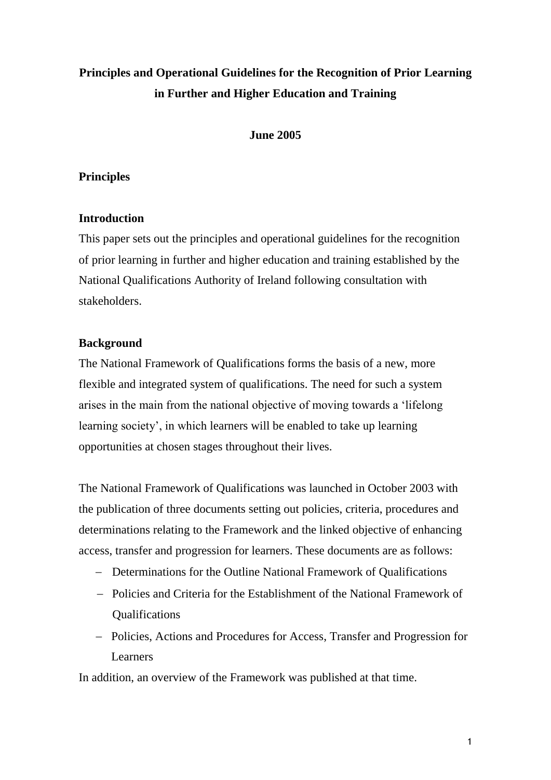# **Principles and Operational Guidelines for the Recognition of Prior Learning in Further and Higher Education and Training**

## **June 2005**

# **Principles**

## **Introduction**

This paper sets out the principles and operational guidelines for the recognition of prior learning in further and higher education and training established by the National Qualifications Authority of Ireland following consultation with stakeholders.

# **Background**

The National Framework of Qualifications forms the basis of a new, more flexible and integrated system of qualifications. The need for such a system arises in the main from the national objective of moving towards a 'lifelong learning society', in which learners will be enabled to take up learning opportunities at chosen stages throughout their lives.

The National Framework of Qualifications was launched in October 2003 with the publication of three documents setting out policies, criteria, procedures and determinations relating to the Framework and the linked objective of enhancing access, transfer and progression for learners. These documents are as follows:

- Determinations for the Outline National Framework of Qualifications
- Policies and Criteria for the Establishment of the National Framework of Qualifications
- Policies, Actions and Procedures for Access, Transfer and Progression for Learners

In addition, an overview of the Framework was published at that time.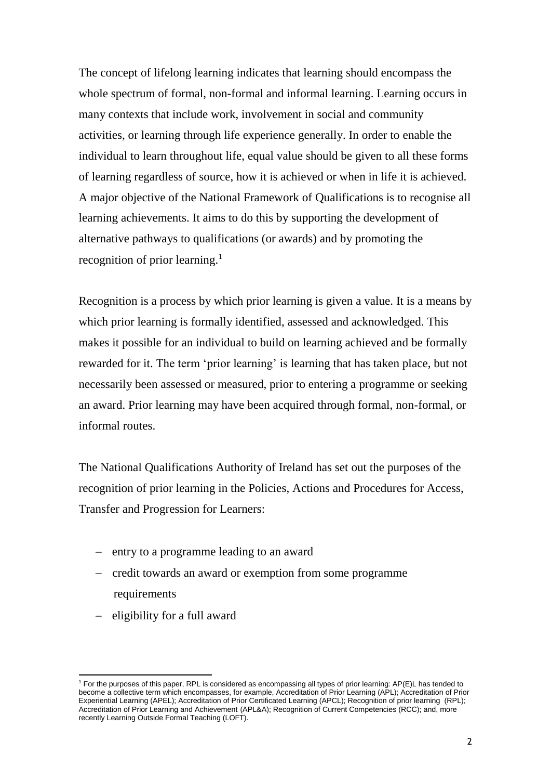The concept of lifelong learning indicates that learning should encompass the whole spectrum of formal, non-formal and informal learning. Learning occurs in many contexts that include work, involvement in social and community activities, or learning through life experience generally. In order to enable the individual to learn throughout life, equal value should be given to all these forms of learning regardless of source, how it is achieved or when in life it is achieved. A major objective of the National Framework of Qualifications is to recognise all learning achievements. It aims to do this by supporting the development of alternative pathways to qualifications (or awards) and by promoting the recognition of prior learning.<sup>1</sup>

Recognition is a process by which prior learning is given a value. It is a means by which prior learning is formally identified, assessed and acknowledged. This makes it possible for an individual to build on learning achieved and be formally rewarded for it. The term 'prior learning' is learning that has taken place, but not necessarily been assessed or measured, prior to entering a programme or seeking an award. Prior learning may have been acquired through formal, non-formal, or informal routes.

The National Qualifications Authority of Ireland has set out the purposes of the recognition of prior learning in the Policies, Actions and Procedures for Access, Transfer and Progression for Learners:

- entry to a programme leading to an award
- credit towards an award or exemption from some programme requirements
- $-$  eligibility for a full award

 $\overline{a}$ 

<sup>1</sup> For the purposes of this paper, RPL is considered as encompassing all types of prior learning: AP(E)L has tended to become a collective term which encompasses, for example, Accreditation of Prior Learning (APL); Accreditation of Prior Experiential Learning (APEL); Accreditation of Prior Certificated Learning (APCL); Recognition of prior learning (RPL); Accreditation of Prior Learning and Achievement (APL&A); Recognition of Current Competencies (RCC); and, more recently Learning Outside Formal Teaching (LOFT).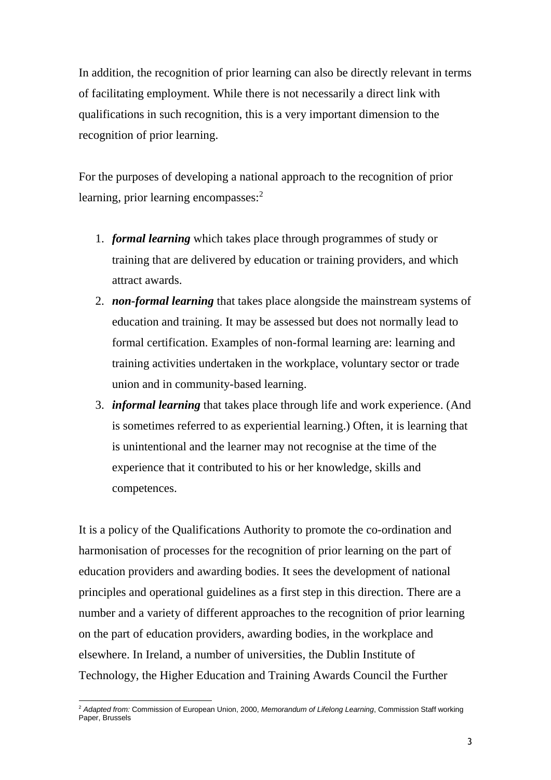In addition, the recognition of prior learning can also be directly relevant in terms of facilitating employment. While there is not necessarily a direct link with qualifications in such recognition, this is a very important dimension to the recognition of prior learning.

For the purposes of developing a national approach to the recognition of prior learning, prior learning encompasses: 2

- 1. *formal learning* which takes place through programmes of study or training that are delivered by education or training providers, and which attract awards.
- 2. *non-formal learning* that takes place alongside the mainstream systems of education and training. It may be assessed but does not normally lead to formal certification. Examples of non-formal learning are: learning and training activities undertaken in the workplace, voluntary sector or trade union and in community-based learning.
- 3. *informal learning* that takes place through life and work experience. (And is sometimes referred to as experiential learning.) Often, it is learning that is unintentional and the learner may not recognise at the time of the experience that it contributed to his or her knowledge, skills and competences.

It is a policy of the Qualifications Authority to promote the co-ordination and harmonisation of processes for the recognition of prior learning on the part of education providers and awarding bodies. It sees the development of national principles and operational guidelines as a first step in this direction. There are a number and a variety of different approaches to the recognition of prior learning on the part of education providers, awarding bodies, in the workplace and elsewhere. In Ireland, a number of universities, the Dublin Institute of Technology, the Higher Education and Training Awards Council the Further

-

<sup>2</sup> *Adapted from:* Commission of European Union, 2000, *Memorandum of Lifelong Learning*, Commission Staff working Paper, Brussels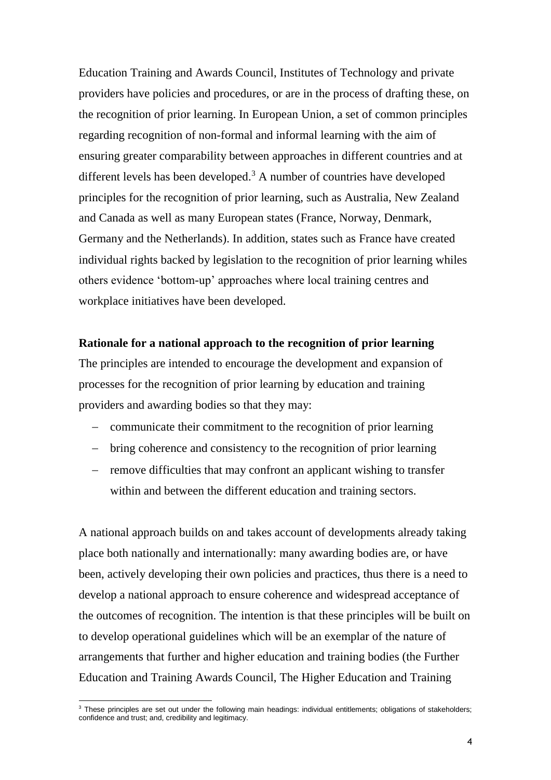Education Training and Awards Council, Institutes of Technology and private providers have policies and procedures, or are in the process of drafting these, on the recognition of prior learning. In European Union, a set of common principles regarding recognition of non-formal and informal learning with the aim of ensuring greater comparability between approaches in different countries and at different levels has been developed.<sup>3</sup> A number of countries have developed principles for the recognition of prior learning, such as Australia, New Zealand and Canada as well as many European states (France, Norway, Denmark, Germany and the Netherlands). In addition, states such as France have created individual rights backed by legislation to the recognition of prior learning whiles others evidence 'bottom-up' approaches where local training centres and workplace initiatives have been developed.

#### **Rationale for a national approach to the recognition of prior learning**

The principles are intended to encourage the development and expansion of processes for the recognition of prior learning by education and training providers and awarding bodies so that they may:

- communicate their commitment to the recognition of prior learning
- bring coherence and consistency to the recognition of prior learning
- remove difficulties that may confront an applicant wishing to transfer within and between the different education and training sectors.

A national approach builds on and takes account of developments already taking place both nationally and internationally: many awarding bodies are, or have been, actively developing their own policies and practices, thus there is a need to develop a national approach to ensure coherence and widespread acceptance of the outcomes of recognition. The intention is that these principles will be built on to develop operational guidelines which will be an exemplar of the nature of arrangements that further and higher education and training bodies (the Further Education and Training Awards Council, The Higher Education and Training

-

<sup>&</sup>lt;sup>3</sup> These principles are set out under the following main headings: individual entitlements; obligations of stakeholders; confidence and trust; and, credibility and legitimacy.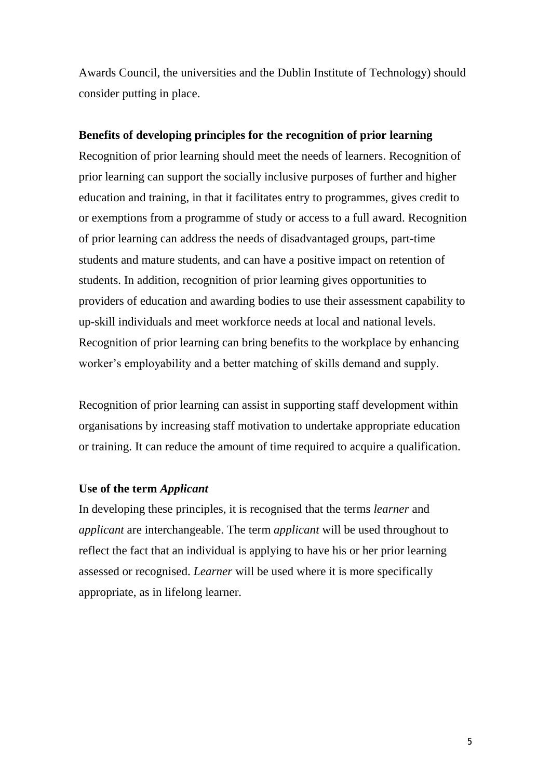Awards Council, the universities and the Dublin Institute of Technology) should consider putting in place.

# **Benefits of developing principles for the recognition of prior learning**

Recognition of prior learning should meet the needs of learners. Recognition of prior learning can support the socially inclusive purposes of further and higher education and training, in that it facilitates entry to programmes, gives credit to or exemptions from a programme of study or access to a full award. Recognition of prior learning can address the needs of disadvantaged groups, part-time students and mature students, and can have a positive impact on retention of students. In addition, recognition of prior learning gives opportunities to providers of education and awarding bodies to use their assessment capability to up-skill individuals and meet workforce needs at local and national levels. Recognition of prior learning can bring benefits to the workplace by enhancing worker's employability and a better matching of skills demand and supply.

Recognition of prior learning can assist in supporting staff development within organisations by increasing staff motivation to undertake appropriate education or training. It can reduce the amount of time required to acquire a qualification.

#### **Use of the term** *Applicant*

In developing these principles, it is recognised that the terms *learner* and *applicant* are interchangeable. The term *applicant* will be used throughout to reflect the fact that an individual is applying to have his or her prior learning assessed or recognised. *Learner* will be used where it is more specifically appropriate, as in lifelong learner.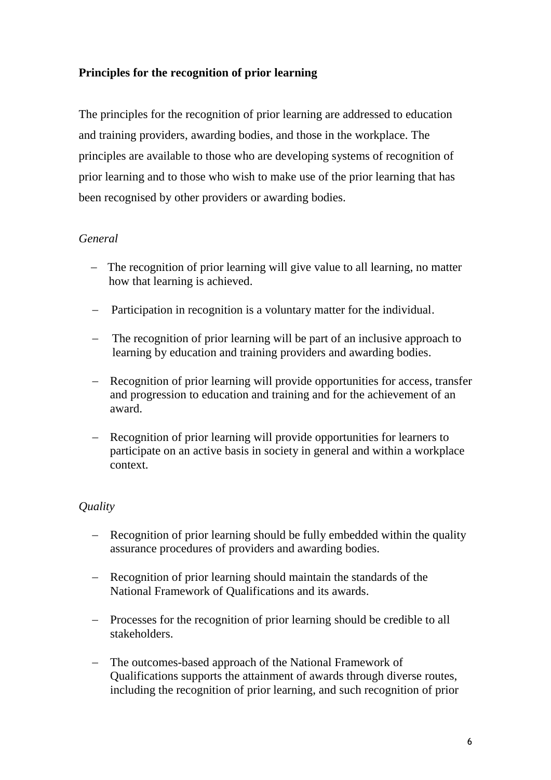# **Principles for the recognition of prior learning**

The principles for the recognition of prior learning are addressed to education and training providers, awarding bodies, and those in the workplace. The principles are available to those who are developing systems of recognition of prior learning and to those who wish to make use of the prior learning that has been recognised by other providers or awarding bodies.

# *General*

- The recognition of prior learning will give value to all learning, no matter how that learning is achieved.
- Participation in recognition is a voluntary matter for the individual.
- The recognition of prior learning will be part of an inclusive approach to learning by education and training providers and awarding bodies.
- Recognition of prior learning will provide opportunities for access, transfer and progression to education and training and for the achievement of an award.
- Recognition of prior learning will provide opportunities for learners to participate on an active basis in society in general and within a workplace context.

# *Quality*

- Recognition of prior learning should be fully embedded within the quality assurance procedures of providers and awarding bodies.
- Recognition of prior learning should maintain the standards of the National Framework of Qualifications and its awards.
- Processes for the recognition of prior learning should be credible to all stakeholders.
- The outcomes-based approach of the National Framework of Qualifications supports the attainment of awards through diverse routes, including the recognition of prior learning, and such recognition of prior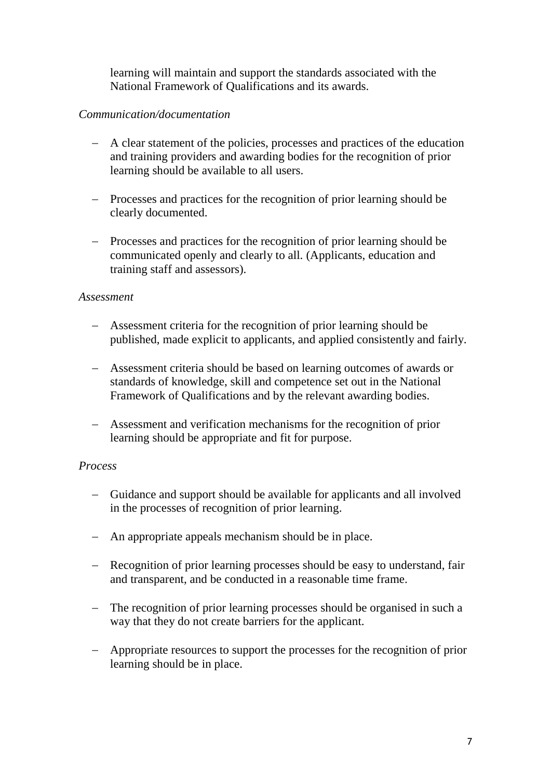learning will maintain and support the standards associated with the National Framework of Qualifications and its awards.

# *Communication/documentation*

- A clear statement of the policies, processes and practices of the education and training providers and awarding bodies for the recognition of prior learning should be available to all users.
- Processes and practices for the recognition of prior learning should be clearly documented.
- Processes and practices for the recognition of prior learning should be communicated openly and clearly to all. (Applicants, education and training staff and assessors).

## *Assessment*

- Assessment criteria for the recognition of prior learning should be published, made explicit to applicants, and applied consistently and fairly.
- Assessment criteria should be based on learning outcomes of awards or standards of knowledge, skill and competence set out in the National Framework of Qualifications and by the relevant awarding bodies.
- Assessment and verification mechanisms for the recognition of prior learning should be appropriate and fit for purpose.

# *Process*

- Guidance and support should be available for applicants and all involved in the processes of recognition of prior learning.
- An appropriate appeals mechanism should be in place.
- Recognition of prior learning processes should be easy to understand, fair and transparent, and be conducted in a reasonable time frame.
- The recognition of prior learning processes should be organised in such a way that they do not create barriers for the applicant.
- Appropriate resources to support the processes for the recognition of prior learning should be in place.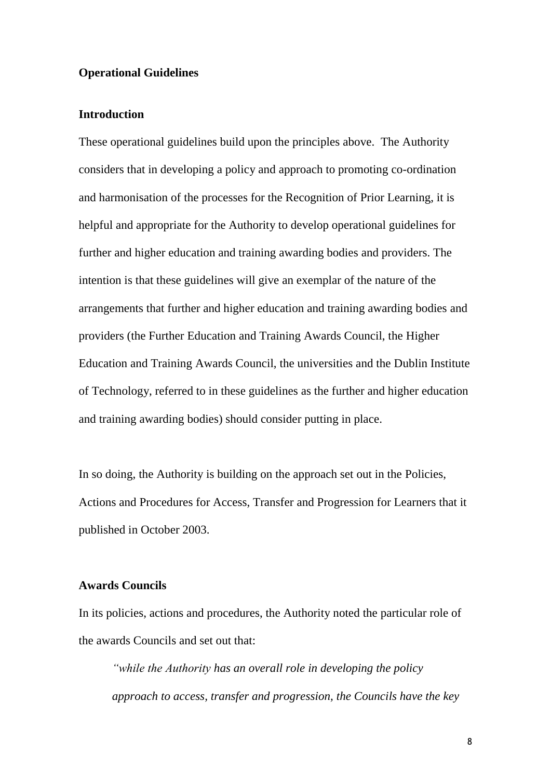#### **Operational Guidelines**

#### **Introduction**

These operational guidelines build upon the principles above. The Authority considers that in developing a policy and approach to promoting co-ordination and harmonisation of the processes for the Recognition of Prior Learning, it is helpful and appropriate for the Authority to develop operational guidelines for further and higher education and training awarding bodies and providers. The intention is that these guidelines will give an exemplar of the nature of the arrangements that further and higher education and training awarding bodies and providers (the Further Education and Training Awards Council, the Higher Education and Training Awards Council, the universities and the Dublin Institute of Technology, referred to in these guidelines as the further and higher education and training awarding bodies) should consider putting in place.

In so doing, the Authority is building on the approach set out in the Policies, Actions and Procedures for Access, Transfer and Progression for Learners that it published in October 2003.

## **Awards Councils**

In its policies, actions and procedures, the Authority noted the particular role of the awards Councils and set out that:

*"while the Authority has an overall role in developing the policy approach to access, transfer and progression, the Councils have the key*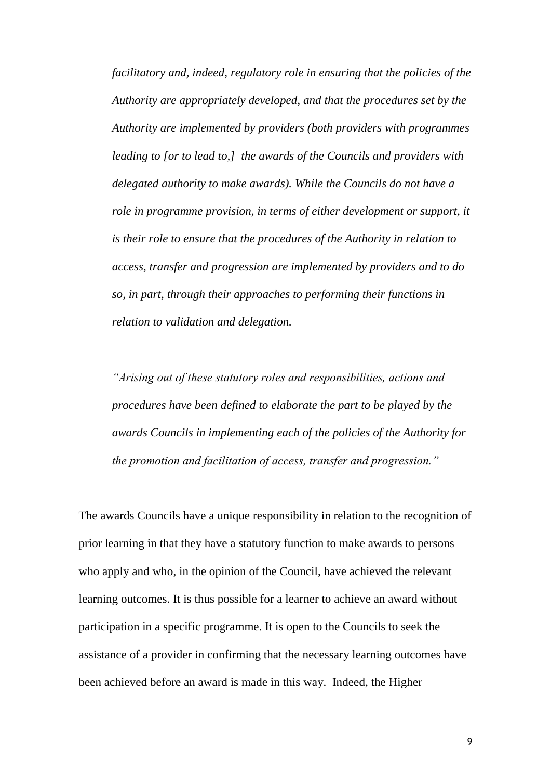*facilitatory and, indeed, regulatory role in ensuring that the policies of the Authority are appropriately developed, and that the procedures set by the Authority are implemented by providers (both providers with programmes leading to [or to lead to,] the awards of the Councils and providers with delegated authority to make awards). While the Councils do not have a role in programme provision, in terms of either development or support, it is their role to ensure that the procedures of the Authority in relation to access, transfer and progression are implemented by providers and to do so, in part, through their approaches to performing their functions in relation to validation and delegation.*

*"Arising out of these statutory roles and responsibilities, actions and procedures have been defined to elaborate the part to be played by the awards Councils in implementing each of the policies of the Authority for the promotion and facilitation of access, transfer and progression."*

The awards Councils have a unique responsibility in relation to the recognition of prior learning in that they have a statutory function to make awards to persons who apply and who, in the opinion of the Council, have achieved the relevant learning outcomes. It is thus possible for a learner to achieve an award without participation in a specific programme. It is open to the Councils to seek the assistance of a provider in confirming that the necessary learning outcomes have been achieved before an award is made in this way. Indeed, the Higher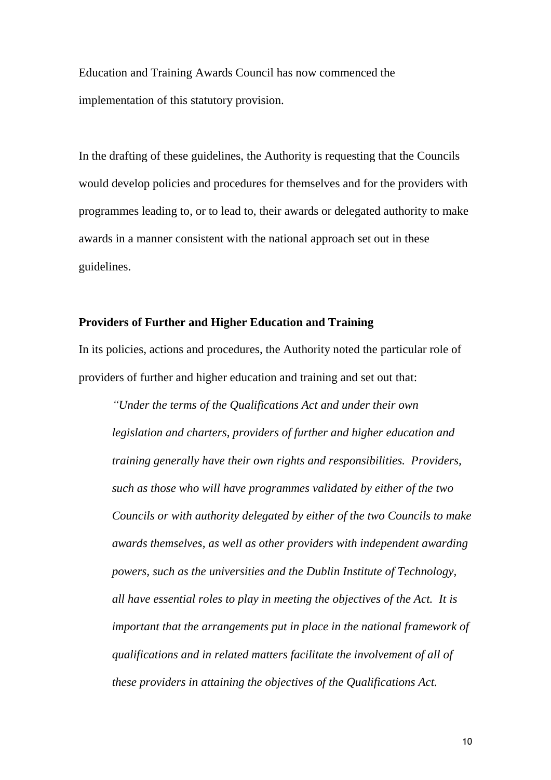Education and Training Awards Council has now commenced the implementation of this statutory provision.

In the drafting of these guidelines, the Authority is requesting that the Councils would develop policies and procedures for themselves and for the providers with programmes leading to, or to lead to, their awards or delegated authority to make awards in a manner consistent with the national approach set out in these guidelines.

# **Providers of Further and Higher Education and Training**

In its policies, actions and procedures, the Authority noted the particular role of providers of further and higher education and training and set out that:

*"Under the terms of the Qualifications Act and under their own legislation and charters, providers of further and higher education and training generally have their own rights and responsibilities. Providers, such as those who will have programmes validated by either of the two Councils or with authority delegated by either of the two Councils to make awards themselves, as well as other providers with independent awarding powers, such as the universities and the Dublin Institute of Technology, all have essential roles to play in meeting the objectives of the Act. It is important that the arrangements put in place in the national framework of qualifications and in related matters facilitate the involvement of all of these providers in attaining the objectives of the Qualifications Act.*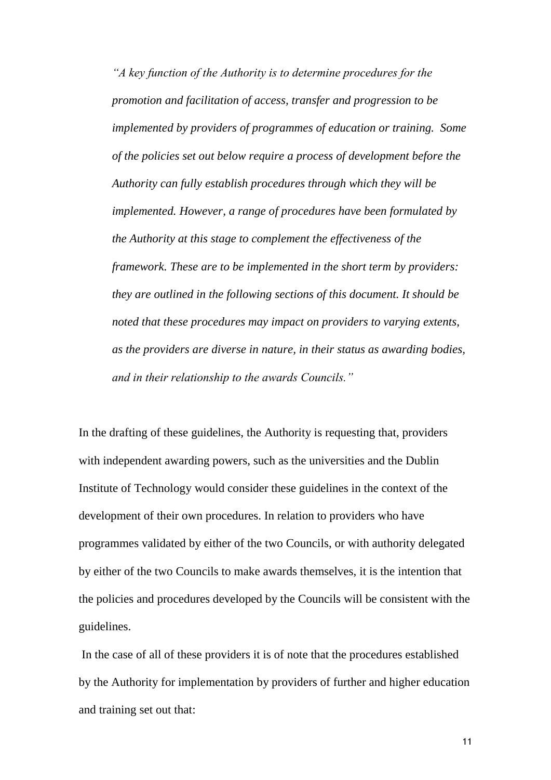*"A key function of the Authority is to determine procedures for the promotion and facilitation of access, transfer and progression to be implemented by providers of programmes of education or training. Some of the policies set out below require a process of development before the Authority can fully establish procedures through which they will be implemented. However, a range of procedures have been formulated by the Authority at this stage to complement the effectiveness of the framework. These are to be implemented in the short term by providers: they are outlined in the following sections of this document. It should be noted that these procedures may impact on providers to varying extents, as the providers are diverse in nature, in their status as awarding bodies, and in their relationship to the awards Councils."*

In the drafting of these guidelines, the Authority is requesting that, providers with independent awarding powers, such as the universities and the Dublin Institute of Technology would consider these guidelines in the context of the development of their own procedures. In relation to providers who have programmes validated by either of the two Councils, or with authority delegated by either of the two Councils to make awards themselves, it is the intention that the policies and procedures developed by the Councils will be consistent with the guidelines.

In the case of all of these providers it is of note that the procedures established by the Authority for implementation by providers of further and higher education and training set out that:

11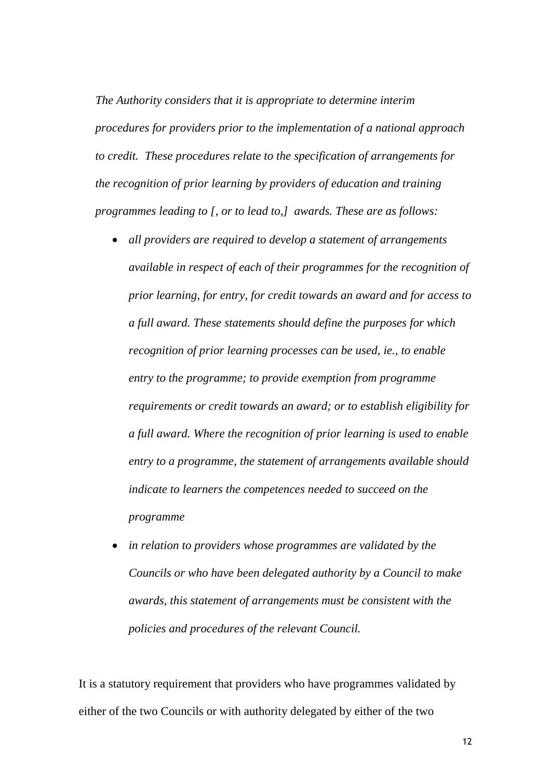*The Authority considers that it is appropriate to determine interim procedures for providers prior to the implementation of a national approach to credit. These procedures relate to the specification of arrangements for the recognition of prior learning by providers of education and training programmes leading to [, or to lead to,] awards. These are as follows:* 

- *all providers are required to develop a statement of arrangements available in respect of each of their programmes for the recognition of prior learning, for entry, for credit towards an award and for access to a full award. These statements should define the purposes for which recognition of prior learning processes can be used, ie., to enable entry to the programme; to provide exemption from programme requirements or credit towards an award; or to establish eligibility for a full award. Where the recognition of prior learning is used to enable entry to a programme, the statement of arrangements available should indicate to learners the competences needed to succeed on the programme*
- *in relation to providers whose programmes are validated by the Councils or who have been delegated authority by a Council to make awards, this statement of arrangements must be consistent with the policies and procedures of the relevant Council.*

It is a statutory requirement that providers who have programmes validated by either of the two Councils or with authority delegated by either of the two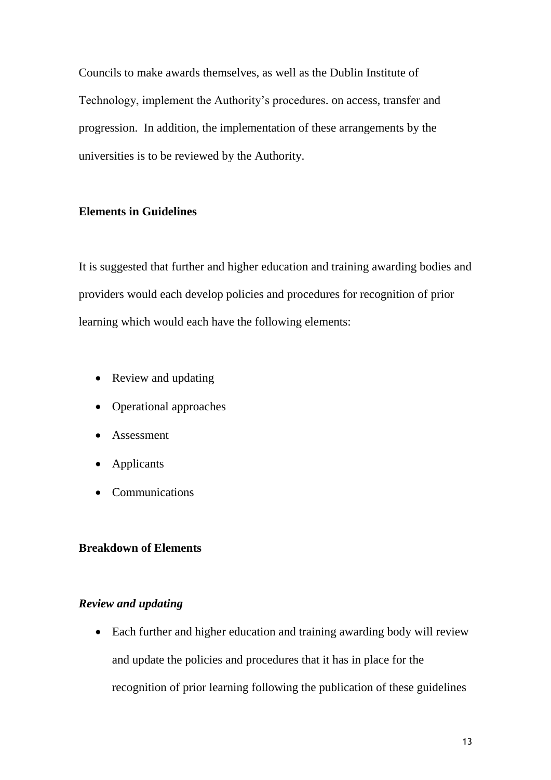Councils to make awards themselves, as well as the Dublin Institute of Technology, implement the Authority's procedures. on access, transfer and progression. In addition, the implementation of these arrangements by the universities is to be reviewed by the Authority.

## **Elements in Guidelines**

It is suggested that further and higher education and training awarding bodies and providers would each develop policies and procedures for recognition of prior learning which would each have the following elements:

- Review and updating
- Operational approaches
- Assessment
- Applicants
- Communications

## **Breakdown of Elements**

# *Review and updating*

• Each further and higher education and training awarding body will review and update the policies and procedures that it has in place for the recognition of prior learning following the publication of these guidelines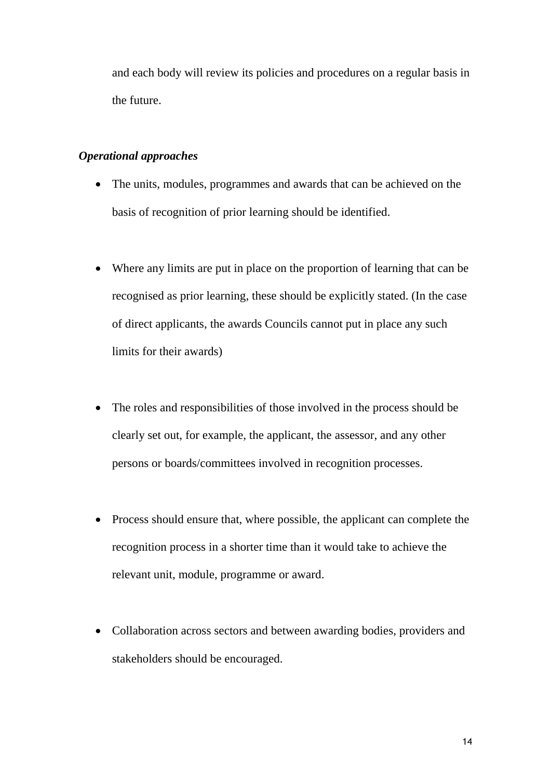and each body will review its policies and procedures on a regular basis in the future.

## *Operational approaches*

- The units, modules, programmes and awards that can be achieved on the basis of recognition of prior learning should be identified.
- Where any limits are put in place on the proportion of learning that can be recognised as prior learning, these should be explicitly stated. (In the case of direct applicants, the awards Councils cannot put in place any such limits for their awards)
- The roles and responsibilities of those involved in the process should be clearly set out, for example, the applicant, the assessor, and any other persons or boards/committees involved in recognition processes.
- Process should ensure that, where possible, the applicant can complete the recognition process in a shorter time than it would take to achieve the relevant unit, module, programme or award.
- Collaboration across sectors and between awarding bodies, providers and stakeholders should be encouraged.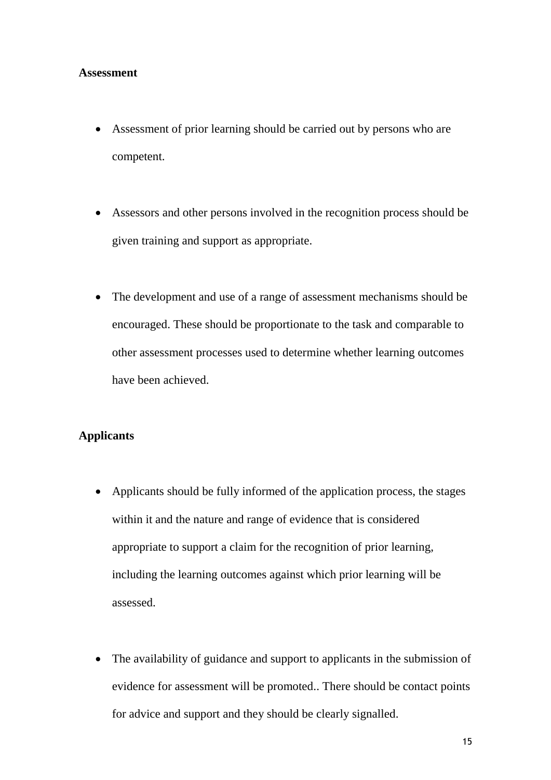#### **Assessment**

- Assessment of prior learning should be carried out by persons who are competent.
- Assessors and other persons involved in the recognition process should be given training and support as appropriate.
- The development and use of a range of assessment mechanisms should be encouraged. These should be proportionate to the task and comparable to other assessment processes used to determine whether learning outcomes have been achieved.

### **Applicants**

- Applicants should be fully informed of the application process, the stages within it and the nature and range of evidence that is considered appropriate to support a claim for the recognition of prior learning, including the learning outcomes against which prior learning will be assessed.
- The availability of guidance and support to applicants in the submission of evidence for assessment will be promoted.. There should be contact points for advice and support and they should be clearly signalled.